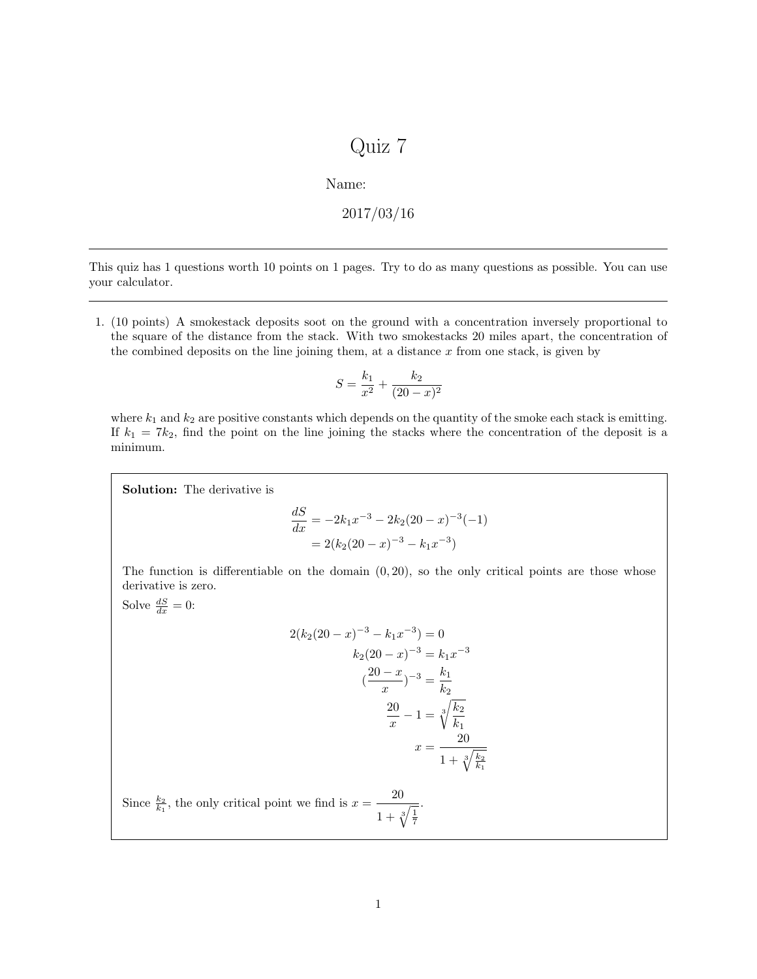## Quiz 7

Name:

$$
2017/03/16
$$

This quiz has 1 questions worth 10 points on 1 pages. Try to do as many questions as possible. You can use your calculator.

1. (10 points) A smokestack deposits soot on the ground with a concentration inversely proportional to the square of the distance from the stack. With two smokestacks 20 miles apart, the concentration of the combined deposits on the line joining them, at a distance  $x$  from one stack, is given by

$$
S = \frac{k_1}{x^2} + \frac{k_2}{(20 - x)^2}
$$

where  $k_1$  and  $k_2$  are positive constants which depends on the quantity of the smoke each stack is emitting. If  $k_1 = 7k_2$ , find the point on the line joining the stacks where the concentration of the deposit is a minimum.

Solution: The derivative is

$$
\frac{dS}{dx} = -2k_1x^{-3} - 2k_2(20 - x)^{-3}(-1)
$$

$$
= 2(k_2(20 - x)^{-3} - k_1x^{-3})
$$

The function is differentiable on the domain  $(0, 20)$ , so the only critical points are those whose derivative is zero.

Solve  $\frac{dS}{dx} = 0$ :

$$
2(k_2(20 - x)^{-3} - k_1x^{-3}) = 0
$$
  
\n
$$
k_2(20 - x)^{-3} = k_1x^{-3}
$$
  
\n
$$
(\frac{20 - x}{x})^{-3} = \frac{k_1}{k_2}
$$
  
\n
$$
\frac{20}{x} - 1 = \sqrt[3]{\frac{k_2}{k_1}}
$$
  
\n
$$
x = \frac{20}{1 + \sqrt[3]{\frac{k_2}{k_1}}}
$$

.

Since  $\frac{k_2}{k_1}$ , the only critical point we find is  $x = \frac{20}{k_1 k_2}$  $1 + \sqrt[3]{\frac{1}{7}}$